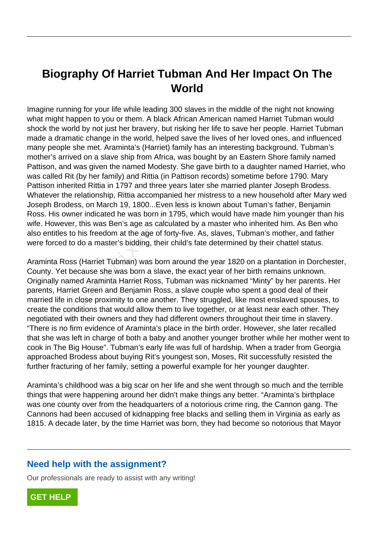# **Biography Of Harriet Tubman And Her Impact On The World**

Imagine running for your life while leading 300 slaves in the middle of the night not knowing what might happen to you or them. A black African American named Harriet Tubman would shock the world by not just her bravery, but risking her life to save her people. Harriet Tubman made a dramatic change in the world, helped save the lives of her loved ones, and influenced many people she met. Araminta's (Harriet) family has an interesting background. Tubman's mother's arrived on a slave ship from Africa, was bought by an Eastern Shore family named Pattison, and was given the named Modesty. She gave birth to a daughter named Harriet, who was called Rit (by her family) and Rittia (in Pattison records) sometime before 1790. Mary Pattison inherited Rittia in 1797 and three years later she married planter Joseph Brodess. Whatever the relationship, Rittia accompanied her mistress to a new household after Mary wed Joseph Brodess, on March 19, 1800...Even less is known about Tuman's father, Benjamin Ross. His owner indicated he was born in 1795, which would have made him younger than his wife. However, this was Ben's age as calculated by a master who inherited him. As Ben who also entitles to his freedom at the age of forty-five. As, slaves, Tubman's mother, and father were forced to do a master's bidding, their child's fate determined by their chattel status.

Araminta Ross (Harriet Tubman) was born around the year 1820 on a plantation in Dorchester, County. Yet because she was born a slave, the exact year of her birth remains unknown. Originally named Araminta Harriet Ross, Tubman was nicknamed "Minty" by her parents. Her parents, Harriet Green and Benjamin Ross, a slave couple who spent a good deal of their married life in close proximity to one another. They struggled, like most enslaved spouses, to create the conditions that would allow them to live together, or at least near each other. They negotiated with their owners and they had different owners throughout their time in slavery. "There is no firm evidence of Araminta's place in the birth order. However, she later recalled that she was left in charge of both a baby and another younger brother while her mother went to cook in The Big House". Tubman's early life was full of hardship. When a trader from Georgia approached Brodess about buying Rit's youngest son, Moses, Rit successfully resisted the further fracturing of her family, setting a powerful example for her younger daughter. The relationship, it interactompanied he<br>odess, on March 19, 1800...Even less if<br>owner indicated he was born in 1795, v<br>sver, this was Ben's age as calculated<br>is to his freedom at the age of forty-five<br>d to do a master's b

Araminta's childhood was a big scar on her life and she went through so much and the terrible things that were happening around her didn't make things any better. "Araminta's birthplace was one county over from the headquarters of a notorious crime ring, the Cannon gang. The Cannons had been accused of kidnapping free blacks and selling them in Virginia as early as 1815. A decade later, by the time Harriet was born, they had become so notorious that Mayor

#### **Need help with the assignment?**

Our professionals are ready to assist with any writing!

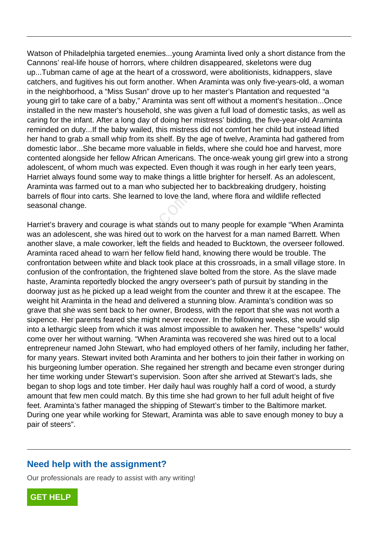Watson of Philadelphia targeted enemies...young Araminta lived only a short distance from the Cannons' real-life house of horrors, where children disappeared, skeletons were dug up...Tubman came of age at the heart of a crossword, were abolitionists, kidnappers, slave catchers, and fugitives his out form another. When Araminta was only five-years-old, a woman in the neighborhood, a "Miss Susan" drove up to her master's Plantation and requested "a young girl to take care of a baby," Araminta was sent off without a moment's hesitation...Once installed in the new master's household, she was given a full load of domestic tasks, as well as caring for the infant. After a long day of doing her mistress' bidding, the five-year-old Araminta reminded on duty...If the baby wailed, this mistress did not comfort her child but instead lifted her hand to grab a small whip from its shelf. By the age of twelve, Araminta had gathered from domestic labor...She became more valuable in fields, where she could hoe and harvest, more contented alongside her fellow African Americans. The once-weak young girl grew into a strong adolescent, of whom much was expected. Even though it was rough in her early teen years, Harriet always found some way to make things a little brighter for herself. As an adolescent, Araminta was farmed out to a man who subjected her to backbreaking drudgery, hoisting barrels of flour into carts. She learned to love the land, where flora and wildlife reflected seasonal change.

Harriet's bravery and courage is what stands out to many people for example "When Araminta was an adolescent, she was hired out to work on the harvest for a man named Barrett. When another slave, a male coworker, left the fields and headed to Bucktown, the overseer followed. Araminta raced ahead to warn her fellow field hand, knowing there would be trouble. The confrontation between white and black took place at this crossroads, in a small village store. In confusion of the confrontation, the frightened slave bolted from the store. As the slave made haste, Araminta reportedly blocked the angry overseer's path of pursuit by standing in the doorway just as he picked up a lead weight from the counter and threw it at the escapee. The weight hit Araminta in the head and delivered a stunning blow. Araminta's condition was so grave that she was sent back to her owner, Brodess, with the report that she was not worth a sixpence. Her parents feared she might never recover. In the following weeks, she would slip into a lethargic sleep from which it was almost impossible to awaken her. These "spells" would come over her without warning. "When Araminta was recovered she was hired out to a local entrepreneur named John Stewart, who had employed others of her family, including her father, for many years. Stewart invited both Araminta and her bothers to join their father in working on his burgeoning lumber operation. She regained her strength and became even stronger during her time working under Stewart's supervision. Soon after she arrived at Stewart's lads, she began to shop logs and tote timber. Her daily haul was roughly half a cord of wood, a sturdy amount that few men could match. By this time she had grown to her full adult height of five feet. Araminta's father managed the shipping of Stewart's timber to the Baltimore market. During one year while working for Stewart, Araminta was able to save enough money to buy a pair of steers". nour into carts. She learned to love the<br>change.<br>Travery and courage is what stands out<br>olescent, she was hired out to work on<br>ave, a male coworker, left the fields and<br>aced ahead to warn her fellow field hal<br>ion between w

## **Need help with the assignment?**

Our professionals are ready to assist with any writing!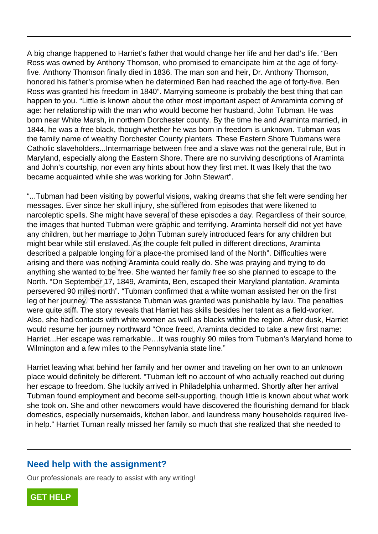A big change happened to Harriet's father that would change her life and her dad's life. "Ben Ross was owned by Anthony Thomson, who promised to emancipate him at the age of fortyfive. Anthony Thomson finally died in 1836. The man son and heir, Dr. Anthony Thomson, honored his father's promise when he determined Ben had reached the age of forty-five. Ben Ross was granted his freedom in 1840". Marrying someone is probably the best thing that can happen to you. "Little is known about the other most important aspect of Amraminta coming of age: her relationship with the man who would become her husband, John Tubman. He was born near White Marsh, in northern Dorchester county. By the time he and Araminta married, in 1844, he was a free black, though whether he was born in freedom is unknown. Tubman was the family name of wealthy Dorchester County planters. These Eastern Shore Tubmans were Catholic slaveholders...Intermarriage between free and a slave was not the general rule, But in Maryland, especially along the Eastern Shore. There are no surviving descriptions of Araminta and John's courtship, nor even any hints about how they first met. It was likely that the two became acquainted while she was working for John Stewart".

"...Tubman had been visiting by powerful visions, waking dreams that she felt were sending her messages. Ever since her skull injury, she suffered from episodes that were likened to narcoleptic spells. She might have several of these episodes a day. Regardless of their source, the images that hunted Tubman were graphic and terrifying. Araminta herself did not yet have any children, but her marriage to John Tubman surely introduced fears for any children but might bear while still enslaved. As the couple felt pulled in different directions, Araminta described a palpable longing for a place-the promised land of the North". Difficulties were arising and there was nothing Araminta could really do. She was praying and trying to do anything she wanted to be free. She wanted her family free so she planned to escape to the North. "On September 17, 1849, Araminta, Ben, escaped their Maryland plantation. Araminta persevered 90 miles north". "Tubman confirmed that a white woman assisted her on the first leg of her journey. The assistance Tubman was granted was punishable by law. The penalties were quite stiff. The story reveals that Harriet has skills besides her talent as a field-worker. Also, she had contacts with white women as well as blacks within the region. After dusk, Harriet would resume her journey northward "Once freed, Araminta decided to take a new first name: Harriet...Her escape was remarkable…It was roughly 90 miles from Tubman's Maryland home to Wilmington and a few miles to the Pennsylvania state line." Thad been visiting by poweriti visions,<br>
Ever since her skull injury, she suffere<br>
Server She might have several of these<br>
Server She might have several of these<br>
Server She marriage to John Tubman s<br>
Twhile still enslaved

Harriet leaving what behind her family and her owner and traveling on her own to an unknown place would definitely be different. "Tubman left no account of who actually reached out during her escape to freedom. She luckily arrived in Philadelphia unharmed. Shortly after her arrival Tubman found employment and become self-supporting, though little is known about what work she took on. She and other newcomers would have discovered the flourishing demand for black domestics, especially nursemaids, kitchen labor, and laundress many households required livein help." Harriet Tuman really missed her family so much that she realized that she needed to

## **Need help with the assignment?**

Our professionals are ready to assist with any writing!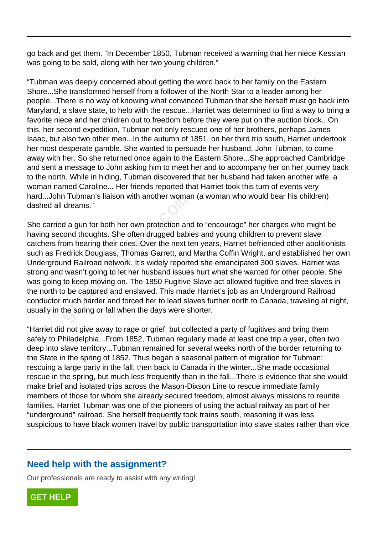go back and get them. "In December 1850, Tubman received a warning that her niece Kessiah was going to be sold, along with her two young children."

"Tubman was deeply concerned about getting the word back to her family on the Eastern Shore...She transformed herself from a follower of the North Star to a leader among her people...There is no way of knowing what convinced Tubman that she herself must go back into Maryland, a slave state, to help with the rescue...Harriet was determined to find a way to bring a favorite niece and her children out to freedom before they were put on the auction block...On this, her second expedition, Tubman not only rescued one of her brothers, perhaps James Isaac, but also two other men...In the autumn of 1851, on her third trip south, Harriet undertook her most desperate gamble. She wanted to persuade her husband, John Tubman, to come away with her. So she returned once again to the Eastern Shore...She approached Cambridge and sent a message to John asking him to meet her and to accompany her on her journey back to the north. While in hiding, Tubman discovered that her husband had taken another wife, a woman named Caroline... Her friends reported that Harriet took this turn of events very hard...John Tubman's liaison with another woman (a woman who would bear his children) dashed all dreams."

She carried a gun for both her own protection and to "encourage" her charges who might be having second thoughts. She often drugged babies and young children to prevent slave catchers from hearing their cries. Over the next ten years, Harriet befriended other abolitionists such as Fredrick Douglass, Thomas Garrett, and Martha Coffin Wright, and established her own Underground Railroad network. It's widely reported she emancipated 300 slaves. Harriet was strong and wasn't going to let her husband issues hurt what she wanted for other people. She was going to keep moving on. The 1850 Fugitive Slave act allowed fugitive and free slaves in the north to be captured and enslaved. This made Harriet's job as an Underground Railroad conductor much harder and forced her to lead slaves further north to Canada, traveling at night, usually in the spring or fall when the days were shorter. In Tubrilah's lialson with another worldand reams."<br>
d a gun for both her own protection and<br>
cond thoughts. She often drugged babit<br>
com hearing their cries. Over the next tereforce defined by<br>
reduck Douglass, Thomas Gar

"Harriet did not give away to rage or grief, but collected a party of fugitives and bring them safely to Philadelphia...From 1852, Tubman regularly made at least one trip a year, often two deep into slave territory...Tubman remained for several weeks north of the border returning to the State in the spring of 1852. Thus began a seasonal pattern of migration for Tubman: rescuing a large party in the fall, then back to Canada in the winter...She made occasional rescue in the spring, but much less frequently than in the fall...There is evidence that she would make brief and isolated trips across the Mason-Dixson Line to rescue immediate family members of those for whom she already secured freedom, almost always missions to reunite families. Harriet Tubman was one of the pioneers of using the actual railway as part of her "underground" railroad. She herself frequently took trains south, reasoning it was less suspicious to have black women travel by public transportation into slave states rather than vice

## **Need help with the assignment?**

Our professionals are ready to assist with any writing!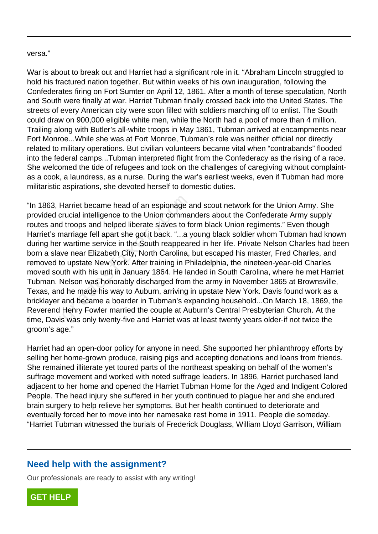#### versa."

War is about to break out and Harriet had a significant role in it. "Abraham Lincoln struggled to hold his fractured nation together. But within weeks of his own inauguration, following the Confederates firing on Fort Sumter on April 12, 1861. After a month of tense speculation, North and South were finally at war. Harriet Tubman finally crossed back into the United States. The streets of every American city were soon filled with soldiers marching off to enlist. The South could draw on 900,000 eligible white men, while the North had a pool of more than 4 million. Trailing along with Butler's all-white troops in May 1861, Tubman arrived at encampments near Fort Monroe...While she was at Fort Monroe, Tubman's role was neither official nor directly related to military operations. But civilian volunteers became vital when "contrabands" flooded into the federal camps...Tubman interpreted flight from the Confederacy as the rising of a race. She welcomed the tide of refugees and took on the challenges of caregiving without complaintas a cook, a laundress, as a nurse. During the war's earliest weeks, even if Tubman had more militaristic aspirations, she devoted herself to domestic duties.

"In 1863, Harriet became head of an espionage and scout network for the Union Army. She provided crucial intelligence to the Union commanders about the Confederate Army supply routes and troops and helped liberate slaves to form black Union regiments." Even though Harriet's marriage fell apart she got it back. "...a young black soldier whom Tubman had known during her wartime service in the South reappeared in her life. Private Nelson Charles had been born a slave near Elizabeth City, North Carolina, but escaped his master, Fred Charles, and removed to upstate New York. After training in Philadelphia, the nineteen-year-old Charles moved south with his unit in January 1864. He landed in South Carolina, where he met Harriet Tubman. Nelson was honorably discharged from the army in November 1865 at Brownsville, Texas, and he made his way to Auburn, arriving in upstate New York. Davis found work as a bricklayer and became a boarder in Tubman's expanding household...On March 18, 1869, the Reverend Henry Fowler married the couple at Auburn's Central Presbyterian Church. At the time, Davis was only twenty-five and Harriet was at least twenty years older-if not twice the groom's age." Harriet became head of an espionage a<br>rucial intelligence to the Union commal<br>I troops and helped liberate slaves to for<br>narriage fell apart she got it back. "...a y<br>wartime service in the South reappear<br>ve near Elizabeth

Harriet had an open-door policy for anyone in need. She supported her philanthropy efforts by selling her home-grown produce, raising pigs and accepting donations and loans from friends. She remained illiterate yet toured parts of the northeast speaking on behalf of the women's suffrage movement and worked with noted suffrage leaders. In 1896, Harriet purchased land adjacent to her home and opened the Harriet Tubman Home for the Aged and Indigent Colored People. The head injury she suffered in her youth continued to plague her and she endured brain surgery to help relieve her symptoms. But her health continued to deteriorate and eventually forced her to move into her namesake rest home in 1911. People die someday. "Harriet Tubman witnessed the burials of Frederick Douglass, William Lloyd Garrison, William

#### **Need help with the assignment?**

Our professionals are ready to assist with any writing!